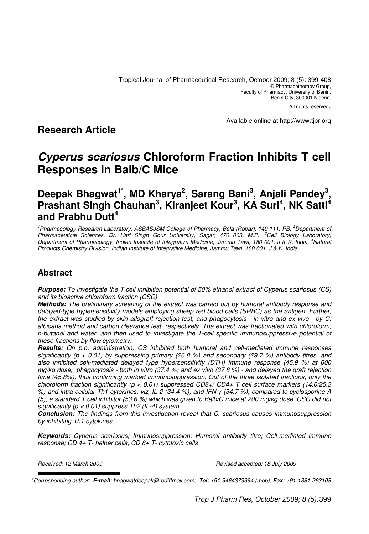All rights reserved.

Available online at http://www.tjpr.org

# **Research Article**

# **Cyperus scariosus Chloroform Fraction Inhibits T cell Responses in Balb/C Mice**

# **Deepak Bhagwat1\*, MD Kharya<sup>2</sup> , Sarang Bani<sup>3</sup> , Anjali Pandey<sup>3</sup> , Prashant Singh Chauhan<sup>3</sup> , Kiranjeet Kour<sup>3</sup> , KA Suri<sup>4</sup> , NK Satti<sup>4</sup> and Prabhu Dutt<sup>4</sup>**

<sup>1</sup> Pharmacology Research Laboratory, ASBASJSM College of Pharmacy, Bela (Ropar), 140 111, PB, <sup>2</sup>Department of Pharmaceutical Sciences, Dr. Hari Singh Gour University, Sagar, 470 003, M.P., <sup>3</sup>Cell Biology Laboratory, Department of Pharmacology, Indian Institute of Integrative Medicine, Jammu Tawi, 180 001. J & K, India, <sup>4</sup>Natural Products Chemistry Division, Indian Institute of Integrative Medicine, Jammu Tawi, 180 001. J & K, India.

# **Abstract**

**Purpose:** To investigate the T cell inhibition potential of 50% ethanol extract of Cyperus scariosus (CS) and its bioactive chloroform fraction (CSC).

**Methods:** The preliminary screening of the extract was carried out by humoral antibody response and delayed-type hypersensitivity models employing sheep red blood cells (SRBC) as the antigen. Further, the extract was studied by skin allograft rejection test, and phagocytosis - in vitro and ex vivo - by C. albicans method and carbon clearance test, respectively. The extract was fractionated with chloroform, n-butanol and water, and then used to investigate the T-cell specific immunosuppressive potential of these fractions by flow cytometry.

**Results:** On p.o. administration, CS inhibited both humoral and cell-mediated immune responses significantly (p < 0.01) by suppressing primary (26.8 %) and secondary (29.7 %) antibody titres, and also inhibited cell-mediated delayed type hypersensitivity (DTH) immune response (45.9 %) at 600 mg/kg dose, phagocytosis - both in vitro (37.4 %) and ex vivo (37.8 %) - and delayed the graft rejection time (45.8%), thus confirming marked immunosuppression. Out of the three isolated fractions, only the chloroform fraction significantly ( $p < 0.01$ ) suppressed CD8+/ CD4+ T cell surface markers (14.0/25.3 %) and intra-cellular Th1 cytokines, viz, IL-2 (34.4 %), and IFN-γ (34.7 %), compared to cyclosporine-A (5), a standard T cell inhibitor (53.6 %) which was given to Balb/C mice at 200 mg/kg dose. CSC did not significantly ( $p < 0.01$ ) suppress Th2 (IL-4) system.

**Conclusion:** The findings from this investigation reveal that C. scariosus causes immunosuppression by inhibiting Th1 cytokines.

**Keywords:** Cyperus scariosus; Immunosuppression; Humoral antibody titre; Cell-mediated immune response; CD 4+ T- helper cells; CD 8+ T- cytotoxic cells

Received: 12 March 2009 **Revised accepted: 18 July 2009** Revised accepted: 18 July 2009

Trop J Pharm Res, October 2009; 8 (5): 399

<sup>\*</sup>Corresponding author: **E-mail:** bhagwatdeepak@rediffmail.com; **Tel:** +91-9464373994 (mob); **Fax:** +91-1881-263108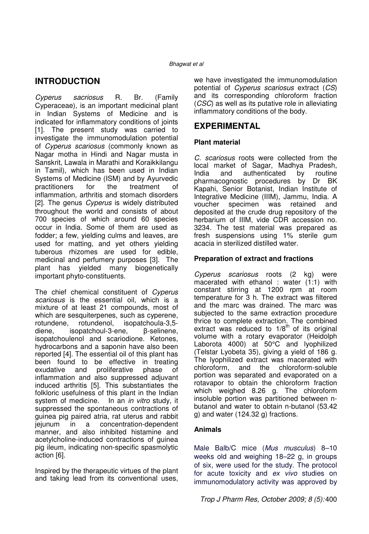# **INTRODUCTION**

Cyperus sacriosus R. Br. (Family Cyperaceae), is an important medicinal plant in Indian Systems of Medicine and is indicated for inflammatory conditions of joints [1]. The present study was carried to investigate the immunomodulation potential of Cyperus scariosus (commonly known as Nagar motha in Hindi and Nagar musta in Sanskrit, Lawala in Marathi and Koraikkilangu in Tamil), which has been used in Indian Systems of Medicine (ISM) and by Ayurvedic practitioners for the treatment of inflammation, arthritis and stomach disorders [2]. The genus *Cyperus* is widely distributed throughout the world and consists of about 700 species of which around 60 species occur in India. Some of them are used as fodder; a few, yielding culms and leaves, are used for matting, and yet others yielding tuberous rhizomes are used for edible, medicinal and perfumery purposes [3]. The plant has yielded many biogenetically important phyto-constituents.

The chief chemical constituent of Cyperus scariosus is the essential oil, which is a mixture of at least 21 compounds, most of which are sesquiterpenes, such as cyperene, rotundene, rotundenol, isopatchoula-3,5 diene, isopatchoul-3-ene, β-selinene, isopatchoulenol and scariodione. Ketones, hydrocarbons and a saponin have also been reported [4]. The essential oil of this plant has been found to be effective in treating exudative and proliferative phase of inflammation and also suppressed adjuvant induced arthritis [5]. This substantiates the folkloric usefulness of this plant in the Indian system of medicine. In an *in vitro* study, it suppressed the spontaneous contractions of guinea pig paired atria, rat uterus and rabbit jejunum in a concentration-dependent manner, and also inhibited histamine and acetylcholine-induced contractions of guinea pig ileum, indicating non-specific spasmolytic action [6].

Inspired by the therapeutic virtues of the plant and taking lead from its conventional uses,

we have investigated the immunomodulation potential of Cyperus scariosus extract (CS) and its corresponding chloroform fraction (CSC) as well as its putative role in alleviating inflammatory conditions of the body.

# **EXPERIMENTAL**

### **Plant material**

C. scariosus roots were collected from the local market of Sagar, Madhya Pradesh,<br>India and authenticated by routine and authenticated by routine pharmacognostic procedures by Dr BK Kapahi, Senior Botanist, Indian Institute of Integrative Medicine (IIIM), Jammu, India. A voucher specimen was retained and deposited at the crude drug repository of the herbarium of IIIM, vide CDR accession no. 3234. The test material was prepared as fresh suspensions using 1% sterile gum acacia in sterilized distilled water.

## **Preparation of extract and fractions**

Cyperus scariosus roots (2 kg) were macerated with ethanol : water  $(1:1)$  with constant stirring at 1200 rpm at room temperature for 3 h. The extract was filtered and the marc was drained. The marc was subjected to the same extraction procedure thrice to complete extraction. The combined extract was reduced to  $1/8^{th}$  of its original volume with a rotary evaporator (Heidolph Laborota 4000) at 50°C and lyophilized (Telstar Lyobeta 35), giving a yield of 186 g. The lyophilized extract was macerated with chloroform, and the chloroform-soluble portion was separated and evaporated on a rotavapor to obtain the chloroform fraction which weighed 8.26 g. The chloroform insoluble portion was partitioned between nbutanol and water to obtain n-butanol (53.42 g) and water (124.32 g) fractions.

### **Animals**

Male Balb/C mice (Mus musculus) 8–10 weeks old and weighing 18–22 g, in groups of six, were used for the study. The protocol for acute toxicity and ex vivo studies on immunomodulatory activity was approved by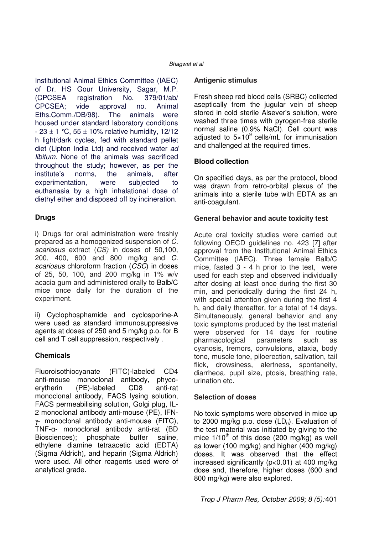Institutional Animal Ethics Committee (IAEC) of Dr. HS Gour University, Sagar, M.P. (CPCSEA registration No. 379/01/ab/ CPCSEA; vide approval no. Animal Eths.Comm./DB/98). The animals were housed under standard laboratory conditions  $-23 \pm 1$  °C, 55  $\pm$  10% relative humidity, 12/12 h light/dark cycles, fed with standard pellet diet (Lipton India Ltd) and received water ad libitum. None of the animals was sacrificed throughout the study; however, as per the institute's norms, the animals, after experimentation, were subjected to euthanasia by a high inhalational dose of diethyl ether and disposed off by incineration.

### **Drugs**

i) Drugs for oral administration were freshly prepared as a homogenized suspension of C. scariosus extract (CS) in doses of 50,100, 200, 400, 600 and 800 mg/kg and C. scariosus chloroform fraction (CSC) in doses of 25, 50, 100, and 200 mg/kg in 1% w/v acacia gum and administered orally to Balb/C mice once daily for the duration of the experiment.

ii) Cyclophosphamide and cyclosporine-A were used as standard immunosuppressive agents at doses of 250 and 5 mg/kg p.o. for B cell and T cell suppression, respectively .

## **Chemicals**

Fluoroisothiocyanate (FITC)-labeled CD4 anti-mouse monoclonal antibody, phycoerytherin (PE)-labeled CD8 anti-rat monoclonal antibody, FACS lysing solution, FACS permeabilising solution, Golgi plug, IL-2 monoclonal antibody anti-mouse (PE), IFNγ- monoclonal antibody anti-mouse (FITC), TNF-α- monoclonal antibody anti-rat (BD Biosciences); phosphate buffer saline, ethylene diamine tetraacetic acid (EDTA) (Sigma Aldrich), and heparin (Sigma Aldrich) were used. All other reagents used were of analytical grade.

### **Antigenic stimulus**

Fresh sheep red blood cells (SRBC) collected aseptically from the jugular vein of sheep stored in cold sterile Alsever's solution, were washed three times with pyrogen-free sterile normal saline (0.9% NaCl). Cell count was adjusted to  $5\times10^9$  cells/mL for immunisation and challenged at the required times.

## **Blood collection**

On specified days, as per the protocol, blood was drawn from retro-orbital plexus of the animals into a sterile tube with EDTA as an anti-coagulant.

## **General behavior and acute toxicity test**

Acute oral toxicity studies were carried out following OECD guidelines no. 423 [7] after approval from the Institutional Animal Ethics Committee (IAEC). Three female Balb/C mice, fasted 3 - 4 h prior to the test, were used for each step and observed individually after dosing at least once during the first 30 min, and periodically during the first 24 h, with special attention given during the first 4 h, and daily thereafter, for a total of 14 days. Simultaneously, general behavior and any toxic symptoms produced by the test material were observed for 14 days for routine pharmacological parameters such as cyanosis, tremors, convulsions, ataxia, body tone, muscle tone, piloerection, salivation, tail flick, drowsiness, alertness, spontaneity, diarrheoa, pupil size, ptosis, breathing rate, urination etc.

### **Selection of doses**

No toxic symptoms were observed in mice up to 2000 mg/kg p.o. dose  $(LD<sub>0</sub>)$ . Evaluation of the test material was initiated by giving to the mice  $1/10^{th}$  of this dose (200 mg/kg) as well as lower (100 mg/kg) and higher (400 mg/kg) doses. It was observed that the effect increased significantly (p<0.01) at 400 mg/kg dose and, therefore, higher doses (600 and 800 mg/kg) were also explored.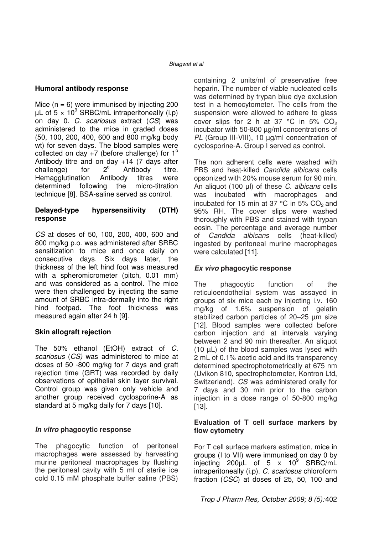#### **Humoral antibody response**

Mice  $(n = 6)$  were immunised by injecting 200  $\mu$ L of 5 × 10<sup>9</sup> SRBC/mL intraperitoneally (i.p) on day 0. C. scariosus extract (CS) was administered to the mice in graded doses (50, 100, 200, 400, 600 and 800 mg/kg body wt) for seven days. The blood samples were collected on day  $+7$  (before challenge) for  $1^\circ$ Antibody titre and on day +14 (7 days after challenge) for  $2^{\circ}$  Antibody titre. Hemagglutination Antibody titres were determined following the micro-titration technique [8]. BSA-saline served as control.

#### **Delayed-type hypersensitivity (DTH) response**

CS at doses of 50, 100, 200, 400, 600 and 800 mg/kg p.o. was administered after SRBC sensitization to mice and once daily on consecutive days. Six days later, the thickness of the left hind foot was measured with a spheromicrometer (pitch, 0.01 mm) and was considered as a control. The mice were then challenged by injecting the same amount of SRBC intra-dermally into the right hind footpad. The foot thickness was measured again after 24 h [9].

### **Skin allograft rejection**

The 50% ethanol (EtOH) extract of C. scariosus (CS) was administered to mice at doses of 50 -800 mg/kg for 7 days and graft rejection time (GRT) was recorded by daily observations of epithelial skin layer survival. Control group was given only vehicle and another group received cyclosporine-A as standard at 5 mg/kg daily for 7 days [10].

### **In vitro phagocytic response**

The phagocytic function of peritoneal macrophages were assessed by harvesting murine peritoneal macrophages by flushing the peritoneal cavity with 5 ml of sterile ice cold 0.15 mM phosphate buffer saline (PBS) containing 2 units/ml of preservative free heparin. The number of viable nucleated cells was determined by trypan blue dye exclusion test in a hemocytometer. The cells from the suspension were allowed to adhere to glass cover slips for 2 h at 37 °C in 5%  $CO<sub>2</sub>$ incubator with 50-800 µg/ml concentrations of PL (Group III-VIII), 10 μg/ml concentration of cyclosporine-A. Group I served as control.

The non adherent cells were washed with PBS and heat-killed Candida albicans cells opsonized with 20% mouse serum for 90 min. An aliquot (100 µl) of these C. albicans cells was incubated with macrophages and incubated for 15 min at 37  $^{\circ}$ C in 5% CO<sub>2</sub> and 95% RH. The cover slips were washed thoroughly with PBS and stained with trypan eosin. The percentage and average number of Candida albicans cells (heat-killed) ingested by peritoneal murine macrophages were calculated [11].

### **Ex vivo phagocytic response**

The phagocytic function of the reticuloendothelial system was assayed in groups of six mice each by injecting i.v. 160 mg/kg of 1.6% suspension of gelatin stabilized carbon particles of 20–25 µm size [12]. Blood samples were collected before carbon injection and at intervals varying between 2 and 90 min thereafter. An aliquot (10 µL) of the blood samples was lysed with 2 mL of 0.1% acetic acid and its transparency determined spectrophotometrically at 675 nm (Uvikon 810, spectrophotometer, Kontron Ltd, Switzerland). CS was administered orally for 7 days and 30 min prior to the carbon injection in a dose range of 50-800 mg/kg [13].

#### **Evaluation of T cell surface markers by flow cytometry**

For T cell surface markers estimation, mice in groups (I to VII) were immunised on day 0 by injecting 200 $\mu$ L of 5 x 10 $^{\circ}$  SRBC/mL intraperitoneally (i.p). C. scariosus chloroform fraction (CSC) at doses of 25, 50, 100 and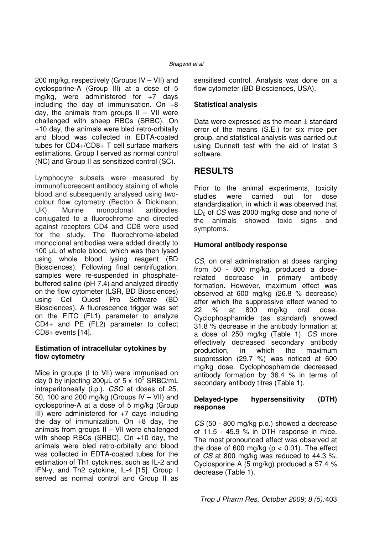200 mg/kg, respectively (Groups IV – VII) and cyclosporine-A (Group III) at a dose of 5 mg/kg, were administered for +7 days including the day of immunisation. On  $+8$ day, the animals from groups  $II - VII$  were challenged with sheep RBCs (SRBC). On +10 day, the animals were bled retro-orbitally and blood was collected in EDTA-coated tubes for CD4+/CD8+ T cell surface markers estimations. Group I served as normal control (NC) and Group II as sensitized control (SC).

Lymphocyte subsets were measured by immunofluorescent antibody staining of whole blood and subsequently analysed using twocolour flow cytometry (Becton & Dickinson, UK). Murine monoclonal antibodies conjugated to a fluorochrome and directed against receptors CD4 and CD8 were used for the study. The fluorochrome-labeled monoclonal antibodies were added directly to 100 µL of whole blood, which was then lysed using whole blood lysing reagent (BD Biosciences). Following final centrifugation, samples were re-suspended in phosphatebuffered saline (pH 7.4) and analyzed directly on the flow cytometer (LSR, BD Biosciences) using Cell Quest Pro Software (BD Biosciences). A fluorescence trigger was set on the FITC (FL1) parameter to analyze CD4+ and PE (FL2) parameter to collect CD8+ events [14].

#### **Estimation of intracellular cytokines by flow cytometry**

Mice in groups (I to VII) were immunised on day 0 by injecting 200μL of 5 x 10<sup>9</sup> SRBC/mL intraperitoneally (i.p.). CSC at doses of 25, 50, 100 and 200 mg/kg (Groups IV – VII) and cyclosporine-A at a dose of 5 mg/kg (Group III) were administered for +7 days including the day of immunization. On +8 day, the animals from groups II – VII were challenged with sheep RBCs (SRBC). On +10 day, the animals were bled retro-orbitally and blood was collected in EDTA-coated tubes for the estimation of Th1 cytokines, such as IL-2 and IFN-γ, and Th2 cytokine, IL-4 [15]. Group I served as normal control and Group II as

sensitised control. Analysis was done on a flow cytometer (BD Biosciences, USA).

## **Statistical analysis**

Data were expressed as the mean  $\pm$  standard error of the means (S.E.) for six mice per group, and statistical analysis was carried out using Dunnett test with the aid of Instat 3 software.

# **RESULTS**

Prior to the animal experiments, toxicity studies were carried out for dose standardisation, in which it was observed that  $LD<sub>0</sub>$  of CS was 2000 mg/kg dose and none of the animals showed toxic signs and symptoms.

### **Humoral antibody response**

CS, on oral administration at doses ranging from 50 - 800 mg/kg, produced a doserelated decrease in primary antibody formation. However, maximum effect was observed at 600 mg/kg (26.8 % decrease) after which the suppressive effect waned to 22 % at 800 mg/kg oral dose. Cyclophosphamide (as standard) showed 31.8 % decrease in the antibody formation at a dose of 250 mg/kg (Table 1). CS more effectively decreased secondary antibody production, in which the maximum suppression (29.7 %) was noticed at 600 mg/kg dose. Cyclophosphamide decreased antibody formation by 36.4 % in terms of secondary antibody titres (Table 1).

#### **Delayed-type hypersensitivity (DTH) response**

CS (50 - 800 mg/kg p.o.) showed a decrease of 11.5 - 45.9 % in DTH response in mice. The most pronounced effect was observed at the dose of 600 mg/kg ( $p < 0.01$ ). The effect of CS at 800 mg/kg was reduced to 44.3 %. Cyclosporine A (5 mg/kg) produced a 57.4 % decrease (Table 1).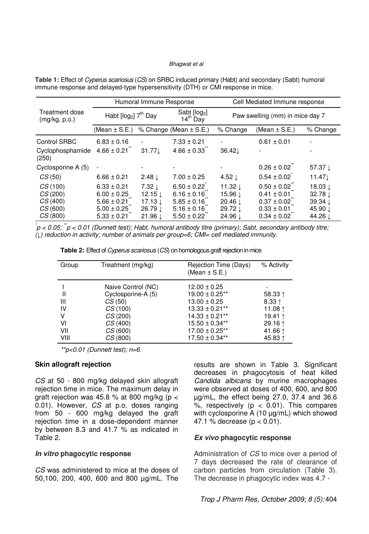|                                                     | Humoral Immune Response                                                                     |                                                                                            |                                                                                             | Cell Mediated Immune response                                                                         |                                                                                             |                                                                                 |
|-----------------------------------------------------|---------------------------------------------------------------------------------------------|--------------------------------------------------------------------------------------------|---------------------------------------------------------------------------------------------|-------------------------------------------------------------------------------------------------------|---------------------------------------------------------------------------------------------|---------------------------------------------------------------------------------|
| Treatment dose<br>(mg/kg, p.o.)                     | Habt $[log2]$ $7th$ Day                                                                     |                                                                                            | Sabt [log2]<br>$14th$ Day                                                                   | Paw swelling (mm) in mice day 7                                                                       |                                                                                             |                                                                                 |
|                                                     | (Mean $\pm$ S.E.)                                                                           |                                                                                            | % Change (Mean ± S.E.)                                                                      | % Change                                                                                              | (Mean $\pm$ S.E.)                                                                           | % Change                                                                        |
| Control SRBC                                        | $6.83 \pm 0.16$                                                                             |                                                                                            | $7.33 \pm 0.21$                                                                             |                                                                                                       | $0.61 \pm 0.01$                                                                             |                                                                                 |
| Cyclophosphamide<br>(250)                           | $4.66 \pm 0.21$                                                                             | 31.77                                                                                      | $4.66 \pm 0.33$                                                                             | 36.42L                                                                                                |                                                                                             |                                                                                 |
| Cyclosporine A (5)                                  |                                                                                             |                                                                                            |                                                                                             |                                                                                                       | $0.26 \pm 0.02$                                                                             | 57.37 $\perp$                                                                   |
| CS(50)                                              | $6.66 \pm 0.21$                                                                             | $2.48 \downarrow$                                                                          | $7.00 \pm 0.25$                                                                             | 4.52 $\perp$                                                                                          | $0.54 \pm 0.02$                                                                             | 11.47                                                                           |
| CS(100)<br>CS(200)<br>CS(400)<br>CS(600)<br>CS(800) | $6.33 \pm 0.21$<br>$6.00 \pm 0.25$<br>$5.66 \pm 0.21$<br>$5.00 \pm 0.25$<br>$5.33 \pm 0.21$ | $7.32 \perp$<br>$12.15 \perp$<br>$17.13 \perp$<br>$26.79 \downarrow$<br>$21.96 \downarrow$ | $6.50 \pm 0.22$<br>$6.16 \pm 0.16$<br>$5.85 \pm 0.16$<br>$5.16 \pm 0.16$<br>$5.50 \pm 0.22$ | 11.32 $\downarrow$<br>$15.96 \downarrow$<br>20.46 $\downarrow$<br>29.72 $\perp$<br>$24.96 \downarrow$ | $0.50 \pm 0.02$<br>$0.41 \pm 0.01$<br>$0.37 \pm 0.02$<br>$0.33 \pm 0.01$<br>$0.34 \pm 0.02$ | 18.03 $\downarrow$<br>$32.78 \downarrow$<br>$39.34 \perp$<br>45.90 ↓<br>44.26 L |

**Table 1:** Effect of Cyperus scariosus (CS) on SRBC induced primary (Habt) and secondary (Sabt) humoral immune response and delayed-type hypersensitivity (DTH) or CMI response in mice.

 $p^*$ p < 0.05;  $p^*$  < 0.01 (Dunnett test); Habt, humoral antibody titre (primary); Sabt, secondary antibody titre; (↓) reduction in activity; number of animals per group=6; CMI= cell mediated immunity.

**Table 2:** Effect of *Cyperus scariosus* (CS) on homologous graft rejection in mice

| Group | Treatment (mg/kg)  | Rejection Time (Days)<br>(Mean $\pm$ S.E.) | % Activity       |
|-------|--------------------|--------------------------------------------|------------------|
|       | Naive Control (NC) | $12.00 \pm 0.25$                           |                  |
| II    | Cyclosporine-A (5) | $19.00 \pm 0.25**$                         | 58.33 $\uparrow$ |
| Ш     | CS(50)             | $13.00 \pm 0.25$                           | $8.33 \uparrow$  |
| IV    | CS(100)            | $13.33 \pm 0.21**$                         | 11.08 ↑          |
| v     | CS(200)            | $14.33 \pm 0.21**$                         | 19.41 ↑          |
| V١    | CS(400)            | $15.50 \pm 0.34**$                         | 29.16 $\uparrow$ |
| VII   | CS(600)            | $17.00 \pm 0.25**$                         | 41.66 1          |
| VIII  | CS(800)            | $17.50 \pm 0.34**$                         | 45.83 ↑          |

 $*$  $p$ <0.01 (Dunnett test); n=6.

#### **Skin allograft rejection**

CS at 50 - 800 mg/kg delayed skin allograft rejection time in mice. The maximum delay in graft rejection was 45.8 % at 800 mg/kg ( $p <$ 0.01). However, CS at p.o. doses ranging from 50 - 600 mg/kg delayed the graft rejection time in a dose-dependent manner by between 8.3 and 41.7 % as indicated in Table 2.

#### **In vitro phagocytic response**

CS was administered to mice at the doses of 50,100, 200, 400, 600 and 800 µg/mL. The

results are shown in Table 3. Significant decreases in phagocytosis of heat killed Candida albicans by murine macrophages were observed at doses of 400, 600, and 800 µg/mL, the effect being 27.0, 37.4 and 36.6 %, respectively ( $p < 0.01$ ). This compares with cyclosporine A (10 µg/mL) which showed 47.1 % decrease (p < 0.01).

#### **Ex vivo phagocytic response**

Administration of CS to mice over a period of 7 days decreased the rate of clearance of carbon particles from circulation (Table 3). The decrease in phagocytic index was 4.7 -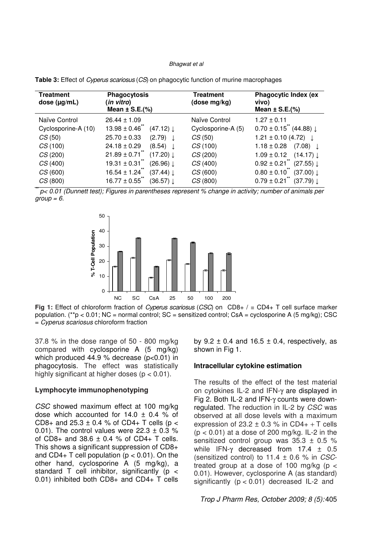| Treatment<br>dose $(\mu g/mL)$ | <b>Phagocytosis</b><br>in vitro)<br>Mean $\pm$ S.E.(%) | <b>Treatment</b><br>(dose mg/kg) | <b>Phagocytic Index (ex</b><br>vivo)<br>Mean $\pm$ S.E.(%) |
|--------------------------------|--------------------------------------------------------|----------------------------------|------------------------------------------------------------|
| Naïve Control                  | $26.44 \pm 1.09$                                       | Naïve Control                    | $1.27 \pm 0.11$                                            |
| Cyclosporine-A (10)            | $13.98 \pm 0.46$<br>$(47.12) \downarrow$               | Cyclosporine-A (5)               | $0.70 \pm 0.15$ <sup>"</sup> (44.88) $\downarrow$          |
| CS(50)                         | $25.70 \pm 0.33$<br>(2.79)                             | CS(50)                           | $1.21 \pm 0.10$ (4.72)                                     |
| CS(100)                        | $24.18 \pm 0.29$<br>(8.54)                             | CS(100)                          | $1.18 \pm 0.28$<br>(7.08)                                  |
| CS(200)                        | $21.89 \pm 0.71$<br>$(17.20) \downarrow$               | CS(200)                          | $1.09 \pm 0.12$<br>$(14.17) \perp$                         |
| CS(400)                        | $19.31 \pm 0.31$<br>$(26.96) \perp$                    | CS(400)                          | $0.92 \pm 0.21$<br>$(27.55) \perp$                         |
| CS(600)                        | $16.54 \pm 1.24$<br>$(37.44) \perp$                    | CS(600)                          | $0.80 \pm 0.10$<br>$(37.00) \perp$                         |
| CS(800)                        | $16.77 \pm 0.55$<br>$(36.57) \perp$                    | CS(800)                          | $0.79 \pm 0.21$<br>$(37.79) \perp$                         |

**Table 3:** Effect of Cyperus scariosus (CS) on phagocytic function of murine macrophages

 $p$ < 0.01 (Dunnett test); Figures in parentheses represent % change in activity; number of animals per  $group = 6$ .



**Fig 1:** Effect of chloroform fraction of Cyperus scariosus (CSC) on CD8+ / ■ CD4+ T cell surface marker population. (\*\*p < 0.01; NC = normal control; SC = sensitized control; CsA = cyclosporine A (5 mg/kg); CSC = Cyperus scariosus chloroform fraction

37.8 % in the dose range of 50 - 800 mg/kg compared with cyclosporine A (5 mg/kg) which produced 44.9 % decrease  $(p<0.01)$  in phagocytosis. The effect was statistically highly significant at higher doses ( $p < 0.01$ ).

#### **Lymphocyte immunophenotyping**

CSC showed maximum effect at 100 mg/kg dose which accounted for  $14.0 \pm 0.4$  % of CD8+ and 25.3  $\pm$  0.4 % of CD4+ T cells (p < 0.01). The control values were  $22.3 \pm 0.3$  % of CD8+ and  $38.6 \pm 0.4$  % of CD4+ T cells. This shows a significant suppression of CD8+ and CD4+ T cell population ( $p < 0.01$ ). On the other hand, cyclosporine A (5 mg/kg), a standard T cell inhibitor, significantly (p < 0.01) inhibited both CD8+ and CD4+ T cells

by  $9.2 \pm 0.4$  and  $16.5 \pm 0.4$ , respectively, as shown in Fig 1.

#### **Intracellular cytokine estimation**

The results of the effect of the test material on cytokines IL-2 and IFN-γ are displayed in Fig 2. Both IL-2 and IFN-γ counts were downregulated. The reduction in IL-2 by CSC was observed at all dose levels with a maximum expression of  $23.2 \pm 0.3$  % in CD4+ + T cells  $(p < 0.01)$  at a dose of 200 mg/kg. IL-2 in the sensitized control group was  $35.3 \pm 0.5$  % while IFN-γ decreased from 17.4 ± 0.5 (sensitized control) to  $11.4 \pm 0.6$  % in CSCtreated group at a dose of 100 mg/kg ( $p <$ 0.01). However, cyclosporine A (as standard) significantly  $(p < 0.01)$  decreased IL-2 and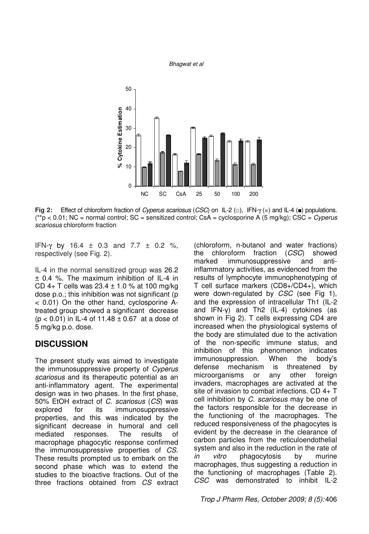

**Fig 2:** Effect of chloroform fraction of Cyperus scariosus (CSC) on IL-2 (□), IFN-γ (■) and IL-4 (■) populations.  $(*p < 0.01; NC =$  normal control;  $SC =$  sensitized control;  $CSA =$  cyclosporine A (5 mg/kg);  $CSC =$  *Cyperus* scariosus chloroform fraction

IFN-γ by 16.4  $\pm$  0.3 and 7.7  $\pm$  0.2 %, respectively (see Fig. 2).

IL-4 in the normal sensitized group was 26.2 ± 0.4 %. The maximum inhibition of IL-4 in CD 4+ T cells was  $23.4 \pm 1.0$  % at 100 mg/kg dose p.o.; this inhibition was not significant (p < 0.01) On the other hand, cyclosporine Atreated group showed a significant decrease  $(p < 0.01)$  in IL-4 of 11.48  $\pm$  0.67 at a dose of 5 mg/kg p.o. dose.

### **DISCUSSION**

The present study was aimed to investigate the immunosuppressive property of Cyperus scariosus and its therapeutic potential as an anti-inflammatory agent. The experimental design was in two phases. In the first phase, 50% EtOH extract of C. scariosus (CS) was explored for its immunosuppressive properties, and this was indicated by the significant decrease in humoral and cell mediated responses. The results of macrophage phagocytic response confirmed the immunosuppressive properties of CS. These results prompted us to embark on the second phase which was to extend the studies to the bioactive fractions. Out of the three fractions obtained from CS extract

(chloroform, n-butanol and water fractions) the chloroform fraction (CSC) showed marked immunosuppressive and antiinflammatory activities, as evidenced from the results of lymphocyte immunophenotyping of T cell surface markers (CD8+/CD4+), which were down-regulated by CSC (see Fig 1), and the expression of intracellular Th1 (IL-2 and IFN-γ) and Th2 (IL-4) cytokines (as shown in Fig 2). T cells expressing CD4 are increased when the physiological systems of the body are stimulated due to the activation of the non-specific immune status, and inhibition of this phenomenon indicates immunosuppression. When the body's defense mechanism is threatened by microorganisms or any other foreign invaders, macrophages are activated at the site of invasion to combat infections. CD 4+ T cell inhibition by C. scariosus may be one of the factors responsible for the decrease in the functioning of the macrophages. The reduced responsiveness of the phagocytes is evident by the decrease in the clearance of carbon particles from the reticuloendothelial system and also in the reduction in the rate of in vitro phagocytosis by murine macrophages, thus suggesting a reduction in the functioning of macrophages (Table 2). CSC was demonstrated to inhibit IL-2

Trop J Pharm Res, October 2009; 8 (5): 406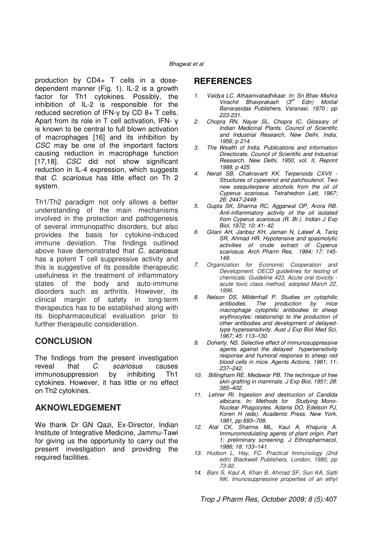production by CD4+ T cells in a dosedependent manner (Fig. 1). IL-2 is a growth factor for Th1 cytokines. Possibly, the inhibition of IL-2 is responsible for the reduced secretion of IFN-γ by CD 8+ T cells. Apart from its role in T cell activation, IFN- γ is known to be central to full blown activation of macrophages [16] and its inhibition by CSC may be one of the important factors causing reduction in macrophage function [17,18]. *CSC* did not show significant reduction in IL-4 expression, which suggests that C. scariosus has little effect on Th 2 system.

Th1/Th2 paradigm not only allows a better understanding of the main mechanisms involved in the protection and pathogenesis of several immunopathic disorders, but also provides the basis for cytokine-induced immune deviation. The findings outlined above have demonstrated that C. scariosus has a potent T cell suppressive activity and this is suggestive of its possible therapeutic usefulness in the treatment of inflammatory states of the body and auto-immune disorders such as arthritis. However, its clinical margin of safety in long-term therapeutics has to be established along with its biopharmaceutical evaluation prior to further therapeutic consideration.

## **CONCLUSION**

The findings from the present investigation reveal that C. scariosus causes immunosuppression by inhibiting Th1 cytokines. However, it has little or no effect on Th2 cytokines.

# **AKNOWLEDGEMENT**

We thank Dr GN Qazi, Ex-Director, Indian Institute of Integrative Medicine, Jammu-Tawi for giving us the opportunity to carry out the present investigation and providing the required facilities.

# **REFERENCES**

- 1. Vaidya LC. Athaamvatadhikaar. In: Sri Bhav Mishra Virachit Bhavprakash (3<sup>rd</sup> Edn) Motilal Banarasidas Publishers, Varanasi, 1970 ; pp 223-231.
- 2. Chopra RN, Nayar SL, Chopra IC. Glossary of Indian Medicinal Plants. Council of Scientific and Industrial Research, New Delhi, India, 1956; p 214.
- 3. The Wealth of India. Publications and Information Directorate, Council of Scientific and Industrial Research, New Delhi, 1950, vol. II, Reprint 1988, p 425.
- 4. Nerali SB, Chakravarti KK. Terpenoids CXVII Structures of cyperenol and patchoulenol. Two new sesquiterpene alcohols from the oil of Cyperus scariosus. Tetrahedron Lett, 1967; 26: 2447-2449.
- 5. Gupta SK, Sharma RC, Aggarwal OP, Arora RB. Anti-inflammatory activity of the oil isolated from Cyperus scariosus (R. Br.). Indian J Exp Biol, 1972; 10: 41- 42.
- 6. Gilani AH, Janbaz KH, Jaman N, Lateef A, Tariq SR, Ahmad HR. Hypotensive and spasmolytic activities of crude extract of Cyperus scariosus. Arch Pharm Res, 1994; 17: 145-149.
- 7. Organization for Economic Cooperation and Development. OECD guidelines for testing of chemicals. Guideline 423, Acute oral toxicity acute toxic class method, adopted March 22, 1996.
- 8. Nelson DS, Mildenhall P. Studies on cytophilic antibodies. The production by mice macrophage cytophilic antibodies to sheep erythrocytes: relationship to the production of other antibodies and development of delayedtype hypersensitivity. Aust J Exp Biol Med Sci, 1967; 45: 113–130.
- 9. Doherty, NS. Selective effect of immunosuppressive agents against the delayed hypersensitivity response and humoral response to sheep red blood cells in mice. Agents Actions, 1981; 11: 237–242.
- 10. Billingham RE, Medawar PB. The technique of free skin grafting in mammals. J Exp Biol, 1951; 28: 385–402.
- 11. Lehrer RI. Ingestion and destruction of Candida albicans. In: Methods for Studying Mono-Nuclear Phagocytes. Adams DO, Edelson PJ, Koren H (eds). Academic Press, New York, 1981, pp 693–708.
- 12. Atal CK, Sharma ML, Kaul A, Khajuria A. Immunomodulating agents of plant origin. Part 1: preliminary screening. J Ethnopharmacol, 1986; 18: 133–141.
- 13. Hudson L, Hay, FC. Practical Immunology (2nd edn) Blackwell Publishers, London, 1980, pp 73-92.
- 14. Bani S, Kaul A, Khan B, Ahmad SF, Suri KA, Satti NK. Imunosuppressive properties of an ethyl

Trop J Pharm Res, October 2009; 8 (5): 407